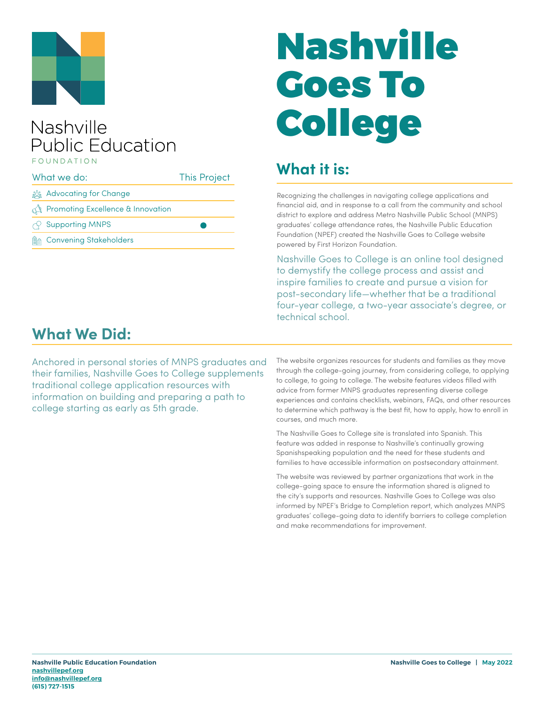

### Nashville **Public Education** FOUNDATION

| What we do: |                                                | <b>This Project</b> |
|-------------|------------------------------------------------|---------------------|
|             | <u>క్రిక్కి</u> Advocating for Change          |                     |
|             | $\mathbb{R}$ Promoting Excellence & Innovation |                     |
|             | $\curvearrowright$ Supporting MNPS             |                     |
|             | <b>A</b> Convening Stakeholders                |                     |

# Nashville Goes To College

### **What it is:**

Recognizing the challenges in navigating college applications and financial aid, and in response to a call from the community and school district to explore and address Metro Nashville Public School (MNPS) graduates' college attendance rates, the Nashville Public Education Foundation (NPEF) created the Nashville Goes to College website powered by First Horizon Foundation.

Nashville Goes to College is an online tool designed to demystify the college process and assist and inspire families to create and pursue a vision for post-secondary life—whether that be a traditional four-year college, a two-year associate's degree, or technical school.

### **What We Did:**

Anchored in personal stories of MNPS graduates and their families, Nashville Goes to College supplements traditional college application resources with information on building and preparing a path to college starting as early as 5th grade.

The website organizes resources for students and families as they move through the college-going journey, from considering college, to applying to college, to going to college. The website features videos filled with advice from former MNPS graduates representing diverse college experiences and contains checklists, webinars, FAQs, and other resources to determine which pathway is the best fit, how to apply, how to enroll in courses, and much more.

The Nashville Goes to College site is translated into Spanish. This feature was added in response to Nashville's continually growing Spanishspeaking population and the need for these students and families to have accessible information on postsecondary attainment.

The website was reviewed by partner organizations that work in the college-going space to ensure the information shared is aligned to the city's supports and resources. Nashville Goes to College was also informed by NPEF's Bridge to Completion report, which analyzes MNPS graduates' college-going data to identify barriers to college completion and make recommendations for improvement.